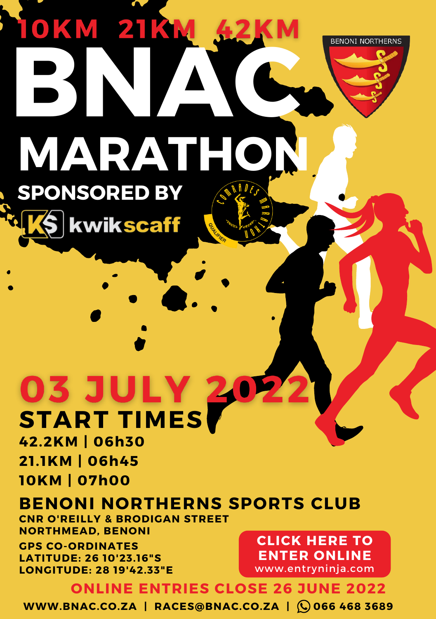# **BNAC BENONI NORTHERNS MARATHON SPONSORED BY**

**03 JULY 2 START TIMES**

**kwikscaff** 

**42.2KM | 06h30 21.1KM | 06h45 10KM | 07h00**

# **BENONI NORTHERNS SPORTS CLUB**

**CNR O'REILLY & BRODIGAN STREET NORTHMEAD, BENONI**

**GPS CO-ORDINATES LATITUDE: 26 10'23.16"S LONGITUDE: 28 19'42.33"E**

**CLICK HERE TO ENTER [ONLINE](https://www.entryninja.com/events/77529-benoni-northerns-marathon)** www.entryninja.com

## **ONLINE ENTRIES CLOSE 26 JUNE 2022**

**WWW.BNAC.CO.ZA | RACES@BNAC.CO.ZA | 066 468 3689**